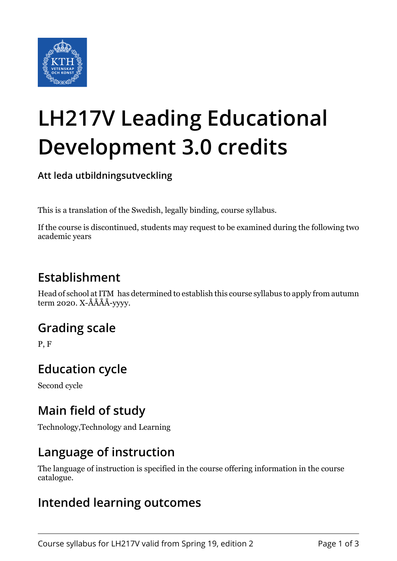

# **LH217V Leading Educational Development 3.0 credits**

**Att leda utbildningsutveckling**

This is a translation of the Swedish, legally binding, course syllabus.

If the course is discontinued, students may request to be examined during the following two academic years

## **Establishment**

Head of school at ITM has determined to establish this course syllabus to apply from autumn term 2020. X-ÅÅÅÅ-yyyy.

### **Grading scale**

P, F

### **Education cycle**

Second cycle

## **Main field of study**

Technology,Technology and Learning

### **Language of instruction**

The language of instruction is specified in the course offering information in the course catalogue.

### **Intended learning outcomes**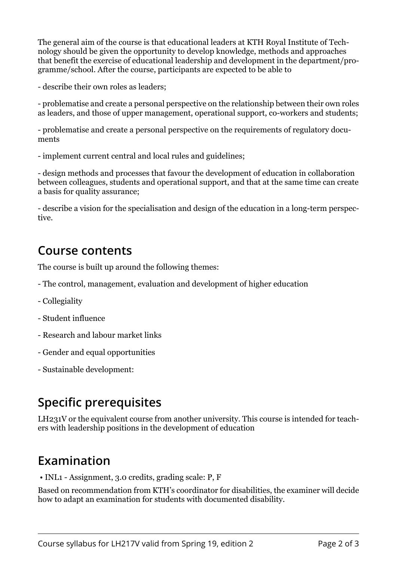The general aim of the course is that educational leaders at KTH Royal Institute of Technology should be given the opportunity to develop knowledge, methods and approaches that benefit the exercise of educational leadership and development in the department/programme/school. After the course, participants are expected to be able to

- describe their own roles as leaders;

- problematise and create a personal perspective on the relationship between their own roles as leaders, and those of upper management, operational support, co-workers and students;

- problematise and create a personal perspective on the requirements of regulatory documents

- implement current central and local rules and guidelines;

- design methods and processes that favour the development of education in collaboration between colleagues, students and operational support, and that at the same time can create a basis for quality assurance;

- describe a vision for the specialisation and design of the education in a long-term perspective.

#### **Course contents**

The course is built up around the following themes:

- The control, management, evaluation and development of higher education
- Collegiality
- Student influence
- Research and labour market links
- Gender and equal opportunities
- Sustainable development:

## **Specific prerequisites**

LH231V or the equivalent course from another university. This course is intended for teachers with leadership positions in the development of education

### **Examination**

• INL1 - Assignment, 3.0 credits, grading scale: P, F

Based on recommendation from KTH's coordinator for disabilities, the examiner will decide how to adapt an examination for students with documented disability.